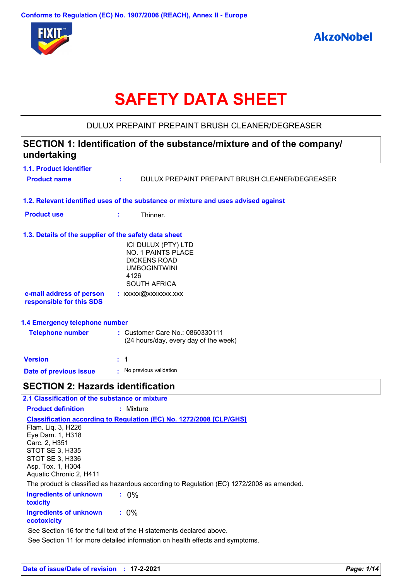

# **SAFETY DATA SHEET**

# DULUX PREPAINT PREPAINT BRUSH CLEANER/DEGREASER

# **1.1. Product identifier 1.3. Details of the supplier of the safety data sheet 1.2. Relevant identified uses of the substance or mixture and uses advised against SECTION 1: Identification of the substance/mixture and of the company/ undertaking Date of previous issue : No previous validation** ICI DULUX (PTY) LTD NO. 1 PAINTS PLACE DICKENS ROAD UMBOGINTWINI 4126 SOUTH AFRICA **e-mail address of person responsible for this SDS :** xxxxx@xxxxxxx.xxx **1.4 Emergency telephone number Version : 1 Product name :** DULUX PREPAINT PREPAINT BRUSH CLEANER/DEGREASER **Product use :** Thinner. **Telephone number :** Customer Care No.: 0860330111 (24 hours/day, every day of the week) **SECTION 2: Hazards identification Ingredients of unknown toxicity :** 0% **Classification according to Regulation (EC) No. 1272/2008 [CLP/GHS] 2.1 Classification of the substance or mixture Product definition :** Mixture Flam. Liq. 3, H226 Eye Dam. 1, H318 Carc. 2, H351 STOT SE 3, H335 STOT SE 3, H336 Asp. Tox. 1, H304 Aquatic Chronic 2, H411 The product is classified as hazardous according to Regulation (EC) 1272/2008 as amended.

**Ingredients of unknown ecotoxicity :** 0%

See Section 16 for the full text of the H statements declared above.

See Section 11 for more detailed information on health effects and symptoms.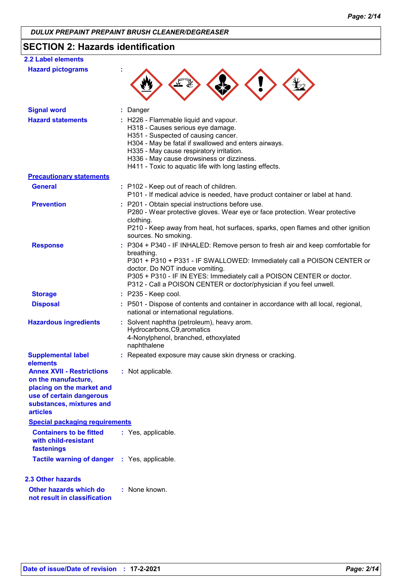# **SECTION 2: Hazards identification**

| <b>2.2 Label elements</b>                                                                                                                                       |                                                                                                                                                                                                                                                                                                                                                          |
|-----------------------------------------------------------------------------------------------------------------------------------------------------------------|----------------------------------------------------------------------------------------------------------------------------------------------------------------------------------------------------------------------------------------------------------------------------------------------------------------------------------------------------------|
| <b>Hazard pictograms</b>                                                                                                                                        |                                                                                                                                                                                                                                                                                                                                                          |
| <b>Signal word</b>                                                                                                                                              | Danger                                                                                                                                                                                                                                                                                                                                                   |
| <b>Hazard statements</b>                                                                                                                                        | : H226 - Flammable liquid and vapour.<br>H318 - Causes serious eye damage.<br>H351 - Suspected of causing cancer.<br>H304 - May be fatal if swallowed and enters airways.<br>H335 - May cause respiratory irritation.<br>H336 - May cause drowsiness or dizziness.<br>H411 - Toxic to aquatic life with long lasting effects.                            |
| <b>Precautionary statements</b>                                                                                                                                 |                                                                                                                                                                                                                                                                                                                                                          |
| <b>General</b>                                                                                                                                                  | : P102 - Keep out of reach of children.<br>P101 - If medical advice is needed, have product container or label at hand.                                                                                                                                                                                                                                  |
| <b>Prevention</b>                                                                                                                                               | : P201 - Obtain special instructions before use.<br>P280 - Wear protective gloves. Wear eye or face protection. Wear protective<br>clothing.<br>P210 - Keep away from heat, hot surfaces, sparks, open flames and other ignition<br>sources. No smoking.                                                                                                 |
| <b>Response</b>                                                                                                                                                 | P304 + P340 - IF INHALED: Remove person to fresh air and keep comfortable for<br>breathing.<br>P301 + P310 + P331 - IF SWALLOWED: Immediately call a POISON CENTER or<br>doctor. Do NOT induce vomiting.<br>P305 + P310 - IF IN EYES: Immediately call a POISON CENTER or doctor.<br>P312 - Call a POISON CENTER or doctor/physician if you feel unwell. |
| <b>Storage</b>                                                                                                                                                  | $:$ P235 - Keep cool.                                                                                                                                                                                                                                                                                                                                    |
| <b>Disposal</b>                                                                                                                                                 | : P501 - Dispose of contents and container in accordance with all local, regional,<br>national or international regulations.                                                                                                                                                                                                                             |
| <b>Hazardous ingredients</b>                                                                                                                                    | : Solvent naphtha (petroleum), heavy arom.<br>Hydrocarbons, C9, aromatics<br>4-Nonylphenol, branched, ethoxylated<br>naphthalene                                                                                                                                                                                                                         |
| <b>Supplemental label</b><br>elements                                                                                                                           | : Repeated exposure may cause skin dryness or cracking.                                                                                                                                                                                                                                                                                                  |
| <b>Annex XVII - Restrictions</b><br>on the manufacture,<br>placing on the market and<br>use of certain dangerous<br>substances, mixtures and<br><b>articles</b> | : Not applicable.                                                                                                                                                                                                                                                                                                                                        |
| <b>Special packaging requirements</b>                                                                                                                           |                                                                                                                                                                                                                                                                                                                                                          |
| <b>Containers to be fitted</b><br>with child-resistant<br>fastenings                                                                                            | : Yes, applicable.                                                                                                                                                                                                                                                                                                                                       |
| <b>Tactile warning of danger</b>                                                                                                                                | : Yes, applicable.                                                                                                                                                                                                                                                                                                                                       |
| <b>2.3 Other hazards</b>                                                                                                                                        |                                                                                                                                                                                                                                                                                                                                                          |
| Other hazards which do<br>not result in classification                                                                                                          | : None known.                                                                                                                                                                                                                                                                                                                                            |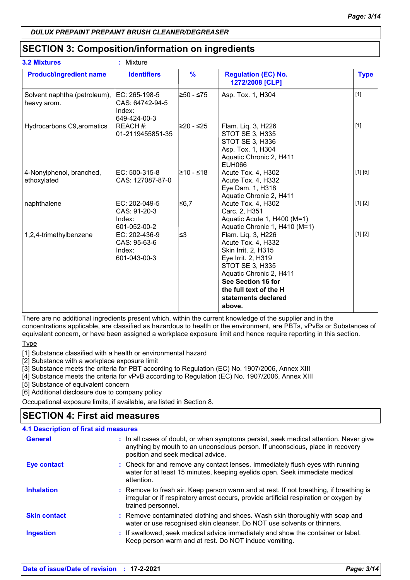# **SECTION 3: Composition/information on ingredients**

| <b>3.2 Mixtures</b>                         | : Mixture                                                   |               |                                                                                                                                                                                                                             |             |
|---------------------------------------------|-------------------------------------------------------------|---------------|-----------------------------------------------------------------------------------------------------------------------------------------------------------------------------------------------------------------------------|-------------|
| <b>Product/ingredient name</b>              | <b>Identifiers</b>                                          | $\frac{9}{6}$ | <b>Regulation (EC) No.</b><br>1272/2008 [CLP]                                                                                                                                                                               | <b>Type</b> |
| Solvent naphtha (petroleum),<br>heavy arom. | IEC: 265-198-5<br>CAS: 64742-94-5<br>Index:<br>649-424-00-3 | l≥50 - ≤75    | Asp. Tox. 1, H304                                                                                                                                                                                                           | $[1]$       |
| Hydrocarbons, C9, aromatics                 | REACH #:<br>01-2119455851-35                                | l≥20 - ≤25    | Flam. Liq. 3, H226<br>STOT SE 3, H335<br>STOT SE 3, H336<br>Asp. Tox. 1, H304<br>Aquatic Chronic 2, H411<br><b>EUH066</b>                                                                                                   | $[1]$       |
| 4-Nonylphenol, branched,<br>ethoxylated     | EC: 500-315-8<br>CAS: 127087-87-0                           | l≥10 - ≤18    | Acute Tox. 4, H302<br>Acute Tox. 4, H332<br>Eye Dam. 1, H318<br>Aquatic Chronic 2, H411                                                                                                                                     | [1] [5]     |
| naphthalene                                 | EC: 202-049-5<br>CAS: 91-20-3<br>Index:<br>601-052-00-2     | 56,7          | Acute Tox. 4, H302<br>Carc. 2, H351<br>Aquatic Acute 1, H400 (M=1)<br>Aquatic Chronic 1, H410 (M=1)                                                                                                                         | [1] [2]     |
| 1,2,4-trimethylbenzene                      | EC: 202-436-9<br>CAS: 95-63-6<br>Index:<br>601-043-00-3     | ∣≤3           | Flam. Liq. 3, H226<br>Acute Tox. 4, H332<br>Skin Irrit. 2, H315<br>Eye Irrit. 2, H319<br><b>STOT SE 3, H335</b><br>Aquatic Chronic 2, H411<br>See Section 16 for<br>the full text of the H<br>statements declared<br>above. | [1] [2]     |

There are no additional ingredients present which, within the current knowledge of the supplier and in the concentrations applicable, are classified as hazardous to health or the environment, are PBTs, vPvBs or Substances of equivalent concern, or have been assigned a workplace exposure limit and hence require reporting in this section.

Type

[1] Substance classified with a health or environmental hazard

[2] Substance with a workplace exposure limit

[3] Substance meets the criteria for PBT according to Regulation (EC) No. 1907/2006, Annex XIII

[4] Substance meets the criteria for vPvB according to Regulation (EC) No. 1907/2006, Annex XIII

[5] Substance of equivalent concern

[6] Additional disclosure due to company policy

Occupational exposure limits, if available, are listed in Section 8.

# **SECTION 4: First aid measures**

| <b>4.1 Description of first aid measures</b> |                                                                                                                                                                                                             |
|----------------------------------------------|-------------------------------------------------------------------------------------------------------------------------------------------------------------------------------------------------------------|
| <b>General</b>                               | : In all cases of doubt, or when symptoms persist, seek medical attention. Never give<br>anything by mouth to an unconscious person. If unconscious, place in recovery<br>position and seek medical advice. |
| <b>Eye contact</b>                           | : Check for and remove any contact lenses. Immediately flush eyes with running<br>water for at least 15 minutes, keeping eyelids open. Seek immediate medical<br>attention.                                 |
| <b>Inhalation</b>                            | : Remove to fresh air. Keep person warm and at rest. If not breathing, if breathing is<br>irregular or if respiratory arrest occurs, provide artificial respiration or oxygen by<br>trained personnel.      |
| <b>Skin contact</b>                          | : Remove contaminated clothing and shoes. Wash skin thoroughly with soap and<br>water or use recognised skin cleanser. Do NOT use solvents or thinners.                                                     |
| <b>Ingestion</b>                             | : If swallowed, seek medical advice immediately and show the container or label.<br>Keep person warm and at rest. Do NOT induce vomiting.                                                                   |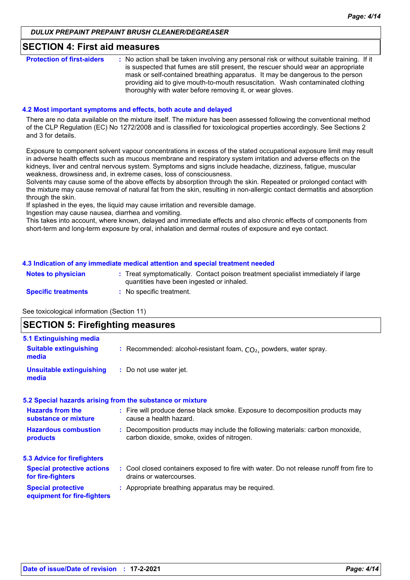#### **SECTION 4: First aid measures**

| <b>Protection of first-aiders</b> | : No action shall be taken involving any personal risk or without suitable training. If it<br>is suspected that fumes are still present, the rescuer should wear an appropriate<br>mask or self-contained breathing apparatus. It may be dangerous to the person<br>providing aid to give mouth-to-mouth resuscitation. Wash contaminated clothing |
|-----------------------------------|----------------------------------------------------------------------------------------------------------------------------------------------------------------------------------------------------------------------------------------------------------------------------------------------------------------------------------------------------|
|                                   | thoroughly with water before removing it, or wear gloves.                                                                                                                                                                                                                                                                                          |

#### **4.2 Most important symptoms and effects, both acute and delayed**

There are no data available on the mixture itself. The mixture has been assessed following the conventional method of the CLP Regulation (EC) No 1272/2008 and is classified for toxicological properties accordingly. See Sections 2 and 3 for details.

Exposure to component solvent vapour concentrations in excess of the stated occupational exposure limit may result in adverse health effects such as mucous membrane and respiratory system irritation and adverse effects on the kidneys, liver and central nervous system. Symptoms and signs include headache, dizziness, fatigue, muscular weakness, drowsiness and, in extreme cases, loss of consciousness.

Solvents may cause some of the above effects by absorption through the skin. Repeated or prolonged contact with the mixture may cause removal of natural fat from the skin, resulting in non-allergic contact dermatitis and absorption through the skin.

If splashed in the eyes, the liquid may cause irritation and reversible damage.

Ingestion may cause nausea, diarrhea and vomiting.

This takes into account, where known, delayed and immediate effects and also chronic effects of components from short-term and long-term exposure by oral, inhalation and dermal routes of exposure and eye contact.

#### **4.3 Indication of any immediate medical attention and special treatment needed**

| <b>Notes to physician</b>  | : Treat symptomatically. Contact poison treatment specialist immediately if large<br>quantities have been ingested or inhaled. |
|----------------------------|--------------------------------------------------------------------------------------------------------------------------------|
| <b>Specific treatments</b> | No specific treatment.                                                                                                         |

See toxicological information (Section 11)

# **SECTION 5: Firefighting measures**

| 5.1 Extinguishing media                                  |                                                                                                                              |
|----------------------------------------------------------|------------------------------------------------------------------------------------------------------------------------------|
| <b>Suitable extinguishing</b><br>media                   | : Recommended: alcohol-resistant foam, $CO2$ , powders, water spray.                                                         |
| <b>Unsuitable extinguishing</b><br>media                 | : Do not use water jet.                                                                                                      |
|                                                          | 5.2 Special hazards arising from the substance or mixture                                                                    |
| <b>Hazards from the</b><br>substance or mixture          | : Fire will produce dense black smoke. Exposure to decomposition products may<br>cause a health hazard.                      |
| <b>Hazardous combustion</b><br>products                  | : Decomposition products may include the following materials: carbon monoxide,<br>carbon dioxide, smoke, oxides of nitrogen. |
| <b>5.3 Advice for firefighters</b>                       |                                                                                                                              |
| <b>Special protective actions</b><br>for fire-fighters   | : Cool closed containers exposed to fire with water. Do not release runoff from fire to<br>drains or watercourses.           |
| <b>Special protective</b><br>equipment for fire-fighters | : Appropriate breathing apparatus may be required.                                                                           |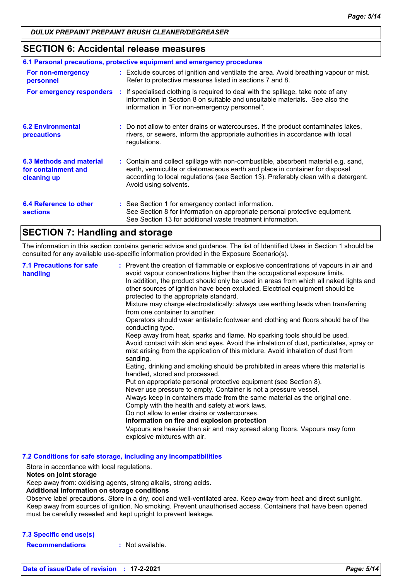## **SECTION 6: Accidental release measures**

| 6.1 Personal precautions, protective equipment and emergency procedures |  |                                                                                                                                                                                                                                                                                    |  |
|-------------------------------------------------------------------------|--|------------------------------------------------------------------------------------------------------------------------------------------------------------------------------------------------------------------------------------------------------------------------------------|--|
| For non-emergency<br>personnel                                          |  | : Exclude sources of ignition and ventilate the area. Avoid breathing vapour or mist.<br>Refer to protective measures listed in sections 7 and 8.                                                                                                                                  |  |
|                                                                         |  | <b>For emergency responders</b> : If specialised clothing is required to deal with the spillage, take note of any<br>information in Section 8 on suitable and unsuitable materials. See also the<br>information in "For non-emergency personnel".                                  |  |
| <b>6.2 Environmental</b><br>precautions                                 |  | : Do not allow to enter drains or watercourses. If the product contaminates lakes,<br>rivers, or sewers, inform the appropriate authorities in accordance with local<br>regulations.                                                                                               |  |
| 6.3 Methods and material<br>for containment and<br>cleaning up          |  | : Contain and collect spillage with non-combustible, absorbent material e.g. sand,<br>earth, vermiculite or diatomaceous earth and place in container for disposal<br>according to local regulations (see Section 13). Preferably clean with a detergent.<br>Avoid using solvents. |  |
| 6.4 Reference to other<br><b>sections</b>                               |  | : See Section 1 for emergency contact information.<br>See Section 8 for information on appropriate personal protective equipment.<br>See Section 13 for additional waste treatment information.                                                                                    |  |

# **SECTION 7: Handling and storage**

The information in this section contains generic advice and guidance. The list of Identified Uses in Section 1 should be consulted for any available use-specific information provided in the Exposure Scenario(s).

| <b>7.1 Precautions for safe</b><br>handling | : Prevent the creation of flammable or explosive concentrations of vapours in air and<br>avoid vapour concentrations higher than the occupational exposure limits.<br>In addition, the product should only be used in areas from which all naked lights and<br>other sources of ignition have been excluded. Electrical equipment should be<br>protected to the appropriate standard.<br>Mixture may charge electrostatically: always use earthing leads when transferring<br>from one container to another.<br>Operators should wear antistatic footwear and clothing and floors should be of the<br>conducting type.<br>Keep away from heat, sparks and flame. No sparking tools should be used.<br>Avoid contact with skin and eyes. Avoid the inhalation of dust, particulates, spray or<br>mist arising from the application of this mixture. Avoid inhalation of dust from<br>sanding.<br>Eating, drinking and smoking should be prohibited in areas where this material is<br>handled, stored and processed.<br>Put on appropriate personal protective equipment (see Section 8).<br>Never use pressure to empty. Container is not a pressure vessel.<br>Always keep in containers made from the same material as the original one.<br>Comply with the health and safety at work laws.<br>Do not allow to enter drains or watercourses.<br>Information on fire and explosion protection<br>Vapours are heavier than air and may spread along floors. Vapours may form<br>explosive mixtures with air. |
|---------------------------------------------|--------------------------------------------------------------------------------------------------------------------------------------------------------------------------------------------------------------------------------------------------------------------------------------------------------------------------------------------------------------------------------------------------------------------------------------------------------------------------------------------------------------------------------------------------------------------------------------------------------------------------------------------------------------------------------------------------------------------------------------------------------------------------------------------------------------------------------------------------------------------------------------------------------------------------------------------------------------------------------------------------------------------------------------------------------------------------------------------------------------------------------------------------------------------------------------------------------------------------------------------------------------------------------------------------------------------------------------------------------------------------------------------------------------------------------------------------------------------------------------------------------------|
|---------------------------------------------|--------------------------------------------------------------------------------------------------------------------------------------------------------------------------------------------------------------------------------------------------------------------------------------------------------------------------------------------------------------------------------------------------------------------------------------------------------------------------------------------------------------------------------------------------------------------------------------------------------------------------------------------------------------------------------------------------------------------------------------------------------------------------------------------------------------------------------------------------------------------------------------------------------------------------------------------------------------------------------------------------------------------------------------------------------------------------------------------------------------------------------------------------------------------------------------------------------------------------------------------------------------------------------------------------------------------------------------------------------------------------------------------------------------------------------------------------------------------------------------------------------------|

**7.2 Conditions for safe storage, including any incompatibilities**

Store in accordance with local regulations.

#### **Notes on joint storage**

Keep away from: oxidising agents, strong alkalis, strong acids.

#### **Additional information on storage conditions**

Observe label precautions. Store in a dry, cool and well-ventilated area. Keep away from heat and direct sunlight. Keep away from sources of ignition. No smoking. Prevent unauthorised access. Containers that have been opened must be carefully resealed and kept upright to prevent leakage.

#### **7.3 Specific end use(s)**

**Recommendations :** Not available.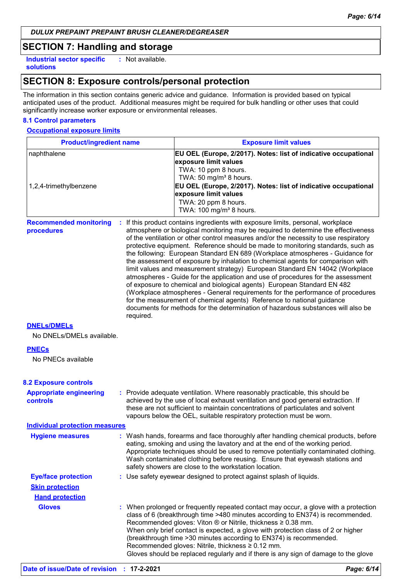# **SECTION 7: Handling and storage**

**Industrial sector specific : solutions** : Not available.

# **SECTION 8: Exposure controls/personal protection**

The information in this section contains generic advice and guidance. Information is provided based on typical anticipated uses of the product. Additional measures might be required for bulk handling or other uses that could significantly increase worker exposure or environmental releases.

#### **8.1 Control parameters**

#### **Occupational exposure limits**

| <b>Product/ingredient name</b>                    |           | <b>Exposure limit values</b>                                                                                                                                                                                                                                                                                                                                                                                                                                                                                                                                                                                                                                                                                                                                                                                                                                                                                                                                                                                          |
|---------------------------------------------------|-----------|-----------------------------------------------------------------------------------------------------------------------------------------------------------------------------------------------------------------------------------------------------------------------------------------------------------------------------------------------------------------------------------------------------------------------------------------------------------------------------------------------------------------------------------------------------------------------------------------------------------------------------------------------------------------------------------------------------------------------------------------------------------------------------------------------------------------------------------------------------------------------------------------------------------------------------------------------------------------------------------------------------------------------|
| naphthalene<br>1,2,4-trimethylbenzene             |           | EU OEL (Europe, 2/2017). Notes: list of indicative occupational<br>exposure limit values<br>TWA: 10 ppm 8 hours.<br>TWA: 50 mg/m <sup>3</sup> 8 hours.<br>EU OEL (Europe, 2/2017). Notes: list of indicative occupational<br>exposure limit values<br>TWA: 20 ppm 8 hours.<br>TWA: 100 mg/m <sup>3</sup> 8 hours.                                                                                                                                                                                                                                                                                                                                                                                                                                                                                                                                                                                                                                                                                                     |
| <b>Recommended monitoring</b><br>procedures       | required. | : If this product contains ingredients with exposure limits, personal, workplace<br>atmosphere or biological monitoring may be required to determine the effectiveness<br>of the ventilation or other control measures and/or the necessity to use respiratory<br>protective equipment. Reference should be made to monitoring standards, such as<br>the following: European Standard EN 689 (Workplace atmospheres - Guidance for<br>the assessment of exposure by inhalation to chemical agents for comparison with<br>limit values and measurement strategy) European Standard EN 14042 (Workplace<br>atmospheres - Guide for the application and use of procedures for the assessment<br>of exposure to chemical and biological agents) European Standard EN 482<br>(Workplace atmospheres - General requirements for the performance of procedures<br>for the measurement of chemical agents) Reference to national guidance<br>documents for methods for the determination of hazardous substances will also be |
| <b>DNELS/DMELS</b>                                |           |                                                                                                                                                                                                                                                                                                                                                                                                                                                                                                                                                                                                                                                                                                                                                                                                                                                                                                                                                                                                                       |
| No DNELs/DMELs available.                         |           |                                                                                                                                                                                                                                                                                                                                                                                                                                                                                                                                                                                                                                                                                                                                                                                                                                                                                                                                                                                                                       |
| <b>PNECs</b>                                      |           |                                                                                                                                                                                                                                                                                                                                                                                                                                                                                                                                                                                                                                                                                                                                                                                                                                                                                                                                                                                                                       |
| No PNECs available                                |           |                                                                                                                                                                                                                                                                                                                                                                                                                                                                                                                                                                                                                                                                                                                                                                                                                                                                                                                                                                                                                       |
|                                                   |           |                                                                                                                                                                                                                                                                                                                                                                                                                                                                                                                                                                                                                                                                                                                                                                                                                                                                                                                                                                                                                       |
| <b>8.2 Exposure controls</b>                      |           |                                                                                                                                                                                                                                                                                                                                                                                                                                                                                                                                                                                                                                                                                                                                                                                                                                                                                                                                                                                                                       |
| <b>Appropriate engineering</b><br><b>controls</b> |           | : Provide adequate ventilation. Where reasonably practicable, this should be<br>achieved by the use of local exhaust ventilation and good general extraction. If<br>these are not sufficient to maintain concentrations of particulates and solvent<br>vapours below the OEL, suitable respiratory protection must be worn.                                                                                                                                                                                                                                                                                                                                                                                                                                                                                                                                                                                                                                                                                           |
| <b>Individual protection measures</b>             |           |                                                                                                                                                                                                                                                                                                                                                                                                                                                                                                                                                                                                                                                                                                                                                                                                                                                                                                                                                                                                                       |
| <b>Hygiene measures</b>                           |           | : Wash hands, forearms and face thoroughly after handling chemical products, before<br>eating, smoking and using the lavatory and at the end of the working period.<br>Appropriate techniques should be used to remove potentially contaminated clothing.<br>Wash contaminated clothing before reusing. Ensure that eyewash stations and<br>safety showers are close to the workstation location.                                                                                                                                                                                                                                                                                                                                                                                                                                                                                                                                                                                                                     |
| <b>Eye/face protection</b>                        |           | : Use safety eyewear designed to protect against splash of liquids.                                                                                                                                                                                                                                                                                                                                                                                                                                                                                                                                                                                                                                                                                                                                                                                                                                                                                                                                                   |
| <b>Skin protection</b>                            |           |                                                                                                                                                                                                                                                                                                                                                                                                                                                                                                                                                                                                                                                                                                                                                                                                                                                                                                                                                                                                                       |
| <b>Hand protection</b>                            |           |                                                                                                                                                                                                                                                                                                                                                                                                                                                                                                                                                                                                                                                                                                                                                                                                                                                                                                                                                                                                                       |
| <b>Gloves</b>                                     |           | : When prolonged or frequently repeated contact may occur, a glove with a protection<br>class of 6 (breakthrough time >480 minutes according to EN374) is recommended.<br>Recommended gloves: Viton $\otimes$ or Nitrile, thickness $\geq 0.38$ mm.<br>When only brief contact is expected, a glove with protection class of 2 or higher<br>(breakthrough time > 30 minutes according to EN374) is recommended.<br>Recommended gloves: Nitrile, thickness ≥ 0.12 mm.<br>Gloves should be replaced regularly and if there is any sign of damage to the glove                                                                                                                                                                                                                                                                                                                                                                                                                                                           |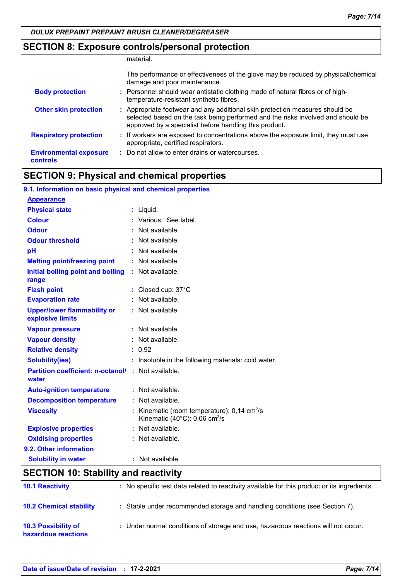# **SECTION 8: Exposure controls/personal protection**

|                                                  | material.                                                                                                                                                                                                                 |
|--------------------------------------------------|---------------------------------------------------------------------------------------------------------------------------------------------------------------------------------------------------------------------------|
|                                                  | The performance or effectiveness of the glove may be reduced by physical/chemical<br>damage and poor maintenance.                                                                                                         |
| <b>Body protection</b>                           | : Personnel should wear antistatic clothing made of natural fibres or of high-<br>temperature-resistant synthetic fibres.                                                                                                 |
| <b>Other skin protection</b>                     | : Appropriate footwear and any additional skin protection measures should be<br>selected based on the task being performed and the risks involved and should be<br>approved by a specialist before handling this product. |
| <b>Respiratory protection</b>                    | : If workers are exposed to concentrations above the exposure limit, they must use<br>appropriate, certified respirators.                                                                                                 |
| <b>Environmental exposure</b><br><b>controls</b> | : Do not allow to enter drains or watercourses.                                                                                                                                                                           |

# **SECTION 9: Physical and chemical properties**

| 9.1. Information on basic physical and chemical properties |                                                                                                      |
|------------------------------------------------------------|------------------------------------------------------------------------------------------------------|
| <b>Appearance</b>                                          |                                                                                                      |
| <b>Physical state</b>                                      | $:$ Liquid.                                                                                          |
| <b>Colour</b>                                              | : Various: See label.                                                                                |
| <b>Odour</b>                                               | : Not available.                                                                                     |
| <b>Odour threshold</b>                                     | : Not available.                                                                                     |
| pH                                                         | : Not available.                                                                                     |
| <b>Melting point/freezing point</b>                        | : Not available.                                                                                     |
| Initial boiling point and boiling<br>range                 | : Not available.                                                                                     |
| <b>Flash point</b>                                         | : Closed cup: 37°C                                                                                   |
| <b>Evaporation rate</b>                                    | : Not available.                                                                                     |
| <b>Upper/lower flammability or</b><br>explosive limits     | : Not available.                                                                                     |
| <b>Vapour pressure</b>                                     | $:$ Not available.                                                                                   |
| <b>Vapour density</b>                                      | : Not available.                                                                                     |
| <b>Relative density</b>                                    | : 0.92                                                                                               |
| <b>Solubility(ies)</b>                                     | : Insoluble in the following materials: cold water.                                                  |
| <b>Partition coefficient: n-octanol/</b><br>water          | : Not available.                                                                                     |
| <b>Auto-ignition temperature</b>                           | : Not available.                                                                                     |
| <b>Decomposition temperature</b>                           | : Not available.                                                                                     |
| <b>Viscosity</b>                                           | Kinematic (room temperature): $0,14$ cm <sup>2</sup> /s<br>Kinematic (40°C): 0,06 cm <sup>2</sup> /s |
| <b>Explosive properties</b>                                | : Not available.                                                                                     |
| <b>Oxidising properties</b>                                | : Not available.                                                                                     |
| 9.2. Other information                                     |                                                                                                      |
| <b>Solubility in water</b>                                 | : Not available.                                                                                     |
| CECTION 10: Ctability and reactivity                       |                                                                                                      |

# **SECTION 10: Stability and reactivity**

| <b>10.1 Reactivity</b>                     | : No specific test data related to reactivity available for this product or its ingredients. |
|--------------------------------------------|----------------------------------------------------------------------------------------------|
| <b>10.2 Chemical stability</b>             | : Stable under recommended storage and handling conditions (see Section 7).                  |
| 10.3 Possibility of<br>hazardous reactions | : Under normal conditions of storage and use, hazardous reactions will not occur.            |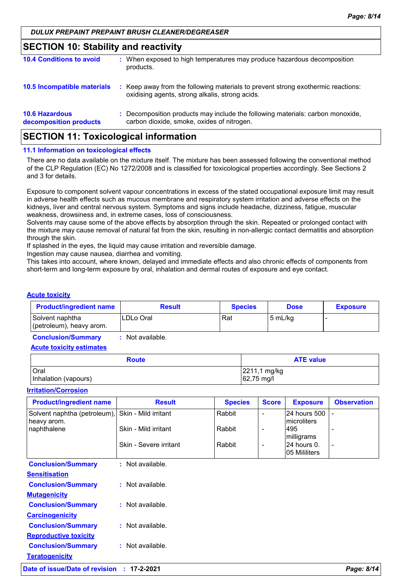# **SECTION 10: Stability and reactivity**

| <b>10.4 Conditions to avoid</b>                 | : When exposed to high temperatures may produce hazardous decomposition<br>products.                                                |
|-------------------------------------------------|-------------------------------------------------------------------------------------------------------------------------------------|
| 10.5 Incompatible materials                     | : Keep away from the following materials to prevent strong exothermic reactions:<br>oxidising agents, strong alkalis, strong acids. |
| <b>10.6 Hazardous</b><br>decomposition products | : Decomposition products may include the following materials: carbon monoxide,<br>carbon dioxide, smoke, oxides of nitrogen.        |

# **SECTION 11: Toxicological information**

#### **11.1 Information on toxicological effects**

There are no data available on the mixture itself. The mixture has been assessed following the conventional method of the CLP Regulation (EC) No 1272/2008 and is classified for toxicological properties accordingly. See Sections 2 and 3 for details.

Exposure to component solvent vapour concentrations in excess of the stated occupational exposure limit may result in adverse health effects such as mucous membrane and respiratory system irritation and adverse effects on the kidneys, liver and central nervous system. Symptoms and signs include headache, dizziness, fatigue, muscular weakness, drowsiness and, in extreme cases, loss of consciousness.

Solvents may cause some of the above effects by absorption through the skin. Repeated or prolonged contact with the mixture may cause removal of natural fat from the skin, resulting in non-allergic contact dermatitis and absorption through the skin.

If splashed in the eyes, the liquid may cause irritation and reversible damage.

Ingestion may cause nausea, diarrhea and vomiting.

This takes into account, where known, delayed and immediate effects and also chronic effects of components from short-term and long-term exposure by oral, inhalation and dermal routes of exposure and eye contact.

#### **Acute toxicity**

| <b>Product/ingredient name</b>              | <b>Result</b>   | <b>Species</b> | <b>Dose</b> | <b>Exposure</b> |
|---------------------------------------------|-----------------|----------------|-------------|-----------------|
| Solvent naphtha<br>(petroleum), heavy arom. | LDLo Oral       | Rat            | l 5 mL/ka   |                 |
| Conclusion Cummon                           | . Not ovojlabla |                |             |                 |

**Conclusion/Summary :** Not available.

**Acute toxicity estimates**

| <b>Route</b>         | <b>ATE value</b>     |
|----------------------|----------------------|
| <b>Oral</b>          | 2211,1 mg/kg         |
| Inhalation (vapours) | $ 62,75 \text{ mg/}$ |

#### **Irritation/Corrosion**

| <b>Product/ingredient name</b>              | <b>Result</b>          | <b>Species</b> | <b>Score</b> | <b>Exposure</b>                     | <b>Observation</b> |
|---------------------------------------------|------------------------|----------------|--------------|-------------------------------------|--------------------|
| Solvent naphtha (petroleum),<br>heavy arom. | Skin - Mild irritant   | Rabbit         |              | 24 hours 500<br><b>Imicroliters</b> |                    |
| naphthalene                                 | Skin - Mild irritant   | Rabbit         | -            | 495<br>milligrams                   |                    |
|                                             | Skin - Severe irritant | Rabbit         | -            | 24 hours 0.<br>05 Mililiters        |                    |
| <b>Conclusion/Summary</b>                   | : Not available.       |                |              |                                     |                    |
| <b>Sensitisation</b>                        |                        |                |              |                                     |                    |
| <b>Conclusion/Summary</b>                   | : Not available.       |                |              |                                     |                    |
| <b>Mutagenicity</b>                         |                        |                |              |                                     |                    |
| <b>Conclusion/Summary</b>                   | : Not available.       |                |              |                                     |                    |
| <b>Carcinogenicity</b>                      |                        |                |              |                                     |                    |
| <b>Conclusion/Summary</b>                   | : Not available.       |                |              |                                     |                    |
| <b>Reproductive toxicity</b>                |                        |                |              |                                     |                    |
| <b>Conclusion/Summary</b>                   | $:$ Not available.     |                |              |                                     |                    |
| <b>Teratogenicity</b>                       |                        |                |              |                                     |                    |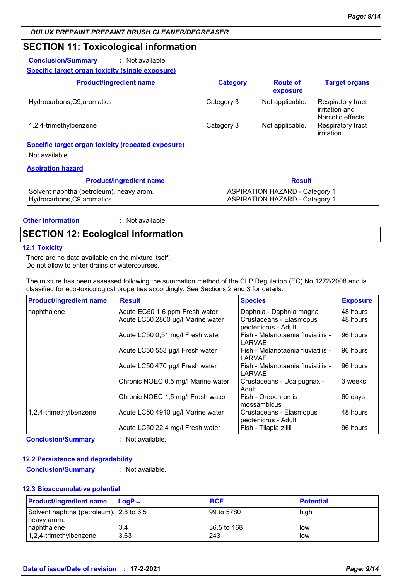### **SECTION 11: Toxicological information**

**Conclusion/Summary :** Not available.

#### **Specific target organ toxicity (single exposure)**

| <b>Product/ingredient name</b> | <b>Category</b> | <b>Route of</b><br>exposure | <b>Target organs</b>                                    |
|--------------------------------|-----------------|-----------------------------|---------------------------------------------------------|
| Hydrocarbons, C9, aromatics    | Category 3      | Not applicable.             | Respiratory tract<br>irritation and<br>Narcotic effects |
| 1,2,4-trimethylbenzene         | Category 3      | Not applicable.             | Respiratory tract<br>irritation                         |

#### **Specific target organ toxicity (repeated exposure)**

Not available.

#### **Aspiration hazard**

| <b>Product/ingredient name</b>           | <b>Result</b>                  |
|------------------------------------------|--------------------------------|
| Solvent naphtha (petroleum), heavy arom. | ASPIRATION HAZARD - Category 1 |
| Hydrocarbons, C9, aromatics              | ASPIRATION HAZARD - Category 1 |

#### **Other information :**

: Not available.

# **SECTION 12: Ecological information**

#### **12.1 Toxicity**

There are no data available on the mixture itself. Do not allow to enter drains or watercourses.

The mixture has been assessed following the summation method of the CLP Regulation (EC) No 1272/2008 and is classified for eco-toxicological properties accordingly. See Sections 2 and 3 for details.

| <b>Product/ingredient name</b> | <b>Result</b>                      | <b>Species</b>                                 | <b>Exposure</b> |
|--------------------------------|------------------------------------|------------------------------------------------|-----------------|
| naphthalene                    | Acute EC50 1,6 ppm Fresh water     | Daphnia - Daphnia magna                        | 48 hours        |
|                                | Acute LC50 2800 µg/l Marine water  | Crustaceans - Elasmopus<br>pectenicrus - Adult | 48 hours        |
|                                | Acute LC50 0,51 mg/l Fresh water   | Fish - Melanotaenia fluviatilis -<br>LARVAE    | 96 hours        |
|                                | Acute LC50 553 µg/l Fresh water    | Fish - Melanotaenia fluviatilis -<br>LARVAE    | 196 hours       |
|                                | Acute LC50 470 µg/l Fresh water    | Fish - Melanotaenia fluviatilis -<br>I ARVAF   | 96 hours        |
|                                | Chronic NOEC 0,5 mg/l Marine water | Crustaceans - Uca pugnax -<br>Adult            | 3 weeks         |
|                                | Chronic NOEC 1,5 mg/l Fresh water  | Fish - Oreochromis<br>mossambicus              | 60 days         |
| 1,2,4-trimethylbenzene         | Acute LC50 4910 µg/l Marine water  | Crustaceans - Elasmopus<br>pectenicrus - Adult | I48 hours       |
|                                | Acute LC50 22,4 mg/l Fresh water   | Fish - Tilapia zillii                          | 196 hours       |

**Conclusion/Summary :** Not available.

#### **12.2 Persistence and degradability**

**Conclusion/Summary :** Not available.

#### **12.3 Bioaccumulative potential**

| <b>Product/ingredient name</b>                          | <b>LogP</b> <sub>ow</sub> | <b>BCF</b>   | <b>Potential</b> |
|---------------------------------------------------------|---------------------------|--------------|------------------|
| Solvent naphtha (petroleum), 2.8 to 6.5<br>Theavy arom. |                           | 199 to 5780  | high             |
| Inaphthalene                                            | 3,4                       | 136.5 to 168 | <b>low</b>       |
| $ 1,2,4$ -trimethylbenzene                              | 3.63                      | 243          | llow             |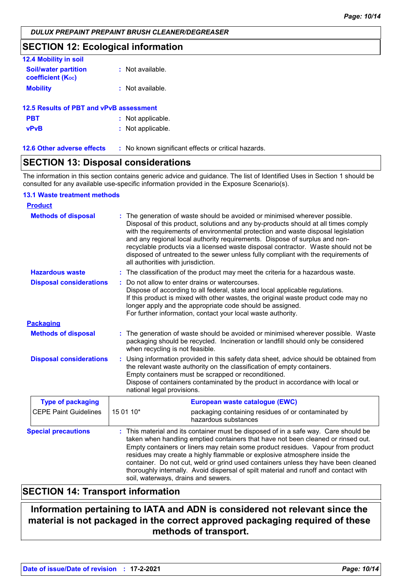# **SECTION 12: Ecological information**

| <b>12.4 Mobility in soil</b>                            |                  |
|---------------------------------------------------------|------------------|
| <b>Soil/water partition</b><br><b>coefficient (Koc)</b> | : Not available. |
| <b>Mobility</b>                                         | : Not available. |

# **PBT :** Not applicable. **vPvB :** Not applicable. **12.5 Results of PBT and vPvB assessment**

**12.6 Other adverse effects** : No known significant effects or critical hazards.

# **SECTION 13: Disposal considerations**

The information in this section contains generic advice and guidance. The list of Identified Uses in Section 1 should be consulted for any available use-specific information provided in the Exposure Scenario(s).

#### **13.1 Waste treatment methods**

| <b>Product</b>                 |                                    |                                                                                                                                                                                                                                                                                                                                                                                                                                                                                                                        |
|--------------------------------|------------------------------------|------------------------------------------------------------------------------------------------------------------------------------------------------------------------------------------------------------------------------------------------------------------------------------------------------------------------------------------------------------------------------------------------------------------------------------------------------------------------------------------------------------------------|
| <b>Methods of disposal</b>     | all authorities with jurisdiction. | : The generation of waste should be avoided or minimised wherever possible.<br>Disposal of this product, solutions and any by-products should at all times comply<br>with the requirements of environmental protection and waste disposal legislation<br>and any regional local authority requirements. Dispose of surplus and non-<br>recyclable products via a licensed waste disposal contractor. Waste should not be<br>disposed of untreated to the sewer unless fully compliant with the requirements of         |
| <b>Hazardous waste</b>         |                                    | : The classification of the product may meet the criteria for a hazardous waste.                                                                                                                                                                                                                                                                                                                                                                                                                                       |
| <b>Disposal considerations</b> |                                    | Do not allow to enter drains or watercourses.<br>Dispose of according to all federal, state and local applicable regulations.<br>If this product is mixed with other wastes, the original waste product code may no<br>longer apply and the appropriate code should be assigned.<br>For further information, contact your local waste authority.                                                                                                                                                                       |
| <b>Packaging</b>               |                                    |                                                                                                                                                                                                                                                                                                                                                                                                                                                                                                                        |
| <b>Methods of disposal</b>     | when recycling is not feasible.    | : The generation of waste should be avoided or minimised wherever possible. Waste<br>packaging should be recycled. Incineration or landfill should only be considered                                                                                                                                                                                                                                                                                                                                                  |
| <b>Disposal considerations</b> | national legal provisions.         | Using information provided in this safety data sheet, advice should be obtained from<br>the relevant waste authority on the classification of empty containers.<br>Empty containers must be scrapped or reconditioned.<br>Dispose of containers contaminated by the product in accordance with local or                                                                                                                                                                                                                |
| <b>Type of packaging</b>       |                                    | European waste catalogue (EWC)                                                                                                                                                                                                                                                                                                                                                                                                                                                                                         |
| <b>CEPE Paint Guidelines</b>   | 15 01 10*                          | packaging containing residues of or contaminated by<br>hazardous substances                                                                                                                                                                                                                                                                                                                                                                                                                                            |
| <b>Special precautions</b>     |                                    | : This material and its container must be disposed of in a safe way. Care should be<br>taken when handling emptied containers that have not been cleaned or rinsed out.<br>Empty containers or liners may retain some product residues. Vapour from product<br>residues may create a highly flammable or explosive atmosphere inside the<br>container. Do not cut, weld or grind used containers unless they have been cleaned<br>thoroughly internally. Avoid dispersal of spilt material and runoff and contact with |

# **SECTION 14: Transport information**

**Information pertaining to IATA and ADN is considered not relevant since the material is not packaged in the correct approved packaging required of these methods of transport.**

soil, waterways, drains and sewers.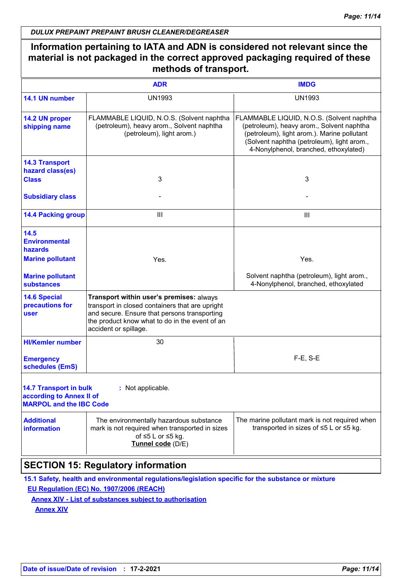# **Information pertaining to IATA and ADN is considered not relevant since the material is not packaged in the correct approved packaging required of these methods of transport.**

|                                                                                             | <b>ADR</b>                                                                                                                                                                                                             | <b>IMDG</b>                                                                                                                                                                                                                  |
|---------------------------------------------------------------------------------------------|------------------------------------------------------------------------------------------------------------------------------------------------------------------------------------------------------------------------|------------------------------------------------------------------------------------------------------------------------------------------------------------------------------------------------------------------------------|
| 14.1 UN number                                                                              | <b>UN1993</b>                                                                                                                                                                                                          | <b>UN1993</b>                                                                                                                                                                                                                |
| 14.2 UN proper<br>shipping name                                                             | FLAMMABLE LIQUID, N.O.S. (Solvent naphtha<br>(petroleum), heavy arom., Solvent naphtha<br>(petroleum), light arom.)                                                                                                    | FLAMMABLE LIQUID, N.O.S. (Solvent naphtha<br>(petroleum), heavy arom., Solvent naphtha<br>(petroleum), light arom.). Marine pollutant<br>(Solvent naphtha (petroleum), light arom.,<br>4-Nonylphenol, branched, ethoxylated) |
| <b>14.3 Transport</b><br>hazard class(es)<br><b>Class</b>                                   | 3                                                                                                                                                                                                                      | 3                                                                                                                                                                                                                            |
| <b>Subsidiary class</b>                                                                     |                                                                                                                                                                                                                        |                                                                                                                                                                                                                              |
| <b>14.4 Packing group</b>                                                                   | Ш                                                                                                                                                                                                                      | $\mathbf{III}$                                                                                                                                                                                                               |
| 14.5<br><b>Environmental</b><br>hazards<br><b>Marine pollutant</b>                          | Yes.                                                                                                                                                                                                                   | Yes.                                                                                                                                                                                                                         |
| <b>Marine pollutant</b><br><b>substances</b>                                                |                                                                                                                                                                                                                        | Solvent naphtha (petroleum), light arom.,<br>4-Nonylphenol, branched, ethoxylated                                                                                                                                            |
| <b>14.6 Special</b><br>precautions for<br>user                                              | Transport within user's premises: always<br>transport in closed containers that are upright<br>and secure. Ensure that persons transporting<br>the product know what to do in the event of an<br>accident or spillage. |                                                                                                                                                                                                                              |
| <b>HI/Kemler number</b>                                                                     | 30                                                                                                                                                                                                                     |                                                                                                                                                                                                                              |
| <b>Emergency</b><br>schedules (EmS)                                                         |                                                                                                                                                                                                                        | $F-E$ , S-E                                                                                                                                                                                                                  |
| <b>14.7 Transport in bulk</b><br>according to Annex II of<br><b>MARPOL and the IBC Code</b> | : Not applicable.                                                                                                                                                                                                      |                                                                                                                                                                                                                              |
| <b>Additional</b><br><b>information</b>                                                     | The environmentally hazardous substance<br>mark is not required when transported in sizes<br>of $\leq 5$ L or $\leq 5$ kg.<br>Tunnel code (D/E)                                                                        | The marine pollutant mark is not required when<br>transported in sizes of $\leq$ 5 L or $\leq$ 5 kg.                                                                                                                         |
|                                                                                             |                                                                                                                                                                                                                        |                                                                                                                                                                                                                              |

# **SECTION 15: Regulatory information**

**15.1 Safety, health and environmental regulations/legislation specific for the substance or mixture**

**EU Regulation (EC) No. 1907/2006 (REACH)**

**Annex XIV - List of substances subject to authorisation**

**Annex XIV**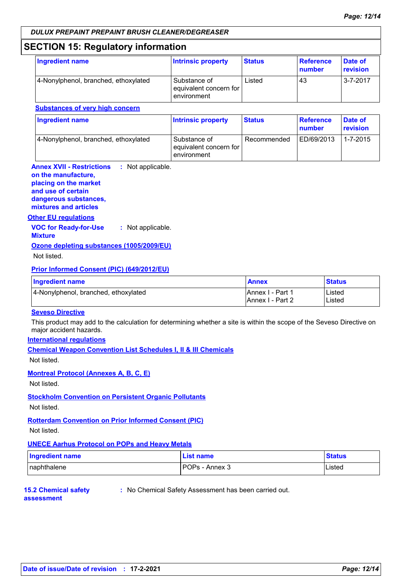# **SECTION 15: Regulatory information**

| Ingredient name                      | <b>Intrinsic property</b>                             | <b>Status</b> | <b>Reference</b><br>number | Date of<br>revision |
|--------------------------------------|-------------------------------------------------------|---------------|----------------------------|---------------------|
| 4-Nonylphenol, branched, ethoxylated | Substance of<br>equivalent concern for<br>environment | Listed        | 43                         | $3 - 7 - 2017$      |

| <b>Ingredient name</b>               | <b>Intrinsic property</b>                             | <b>Status</b> | Reference<br>number | Date of<br><b>revision</b> |  |
|--------------------------------------|-------------------------------------------------------|---------------|---------------------|----------------------------|--|
| 4-Nonylphenol, branched, ethoxylated | Substance of<br>equivalent concern for<br>environment | Recommended   | ED/69/2013          | 1-7-2015                   |  |

**Annex XVII - Restrictions :** Not applicable. **on the manufacture, placing on the market and use of certain dangerous substances, mixtures and articles**

#### **Other EU regulations**

**VOC for Ready-for-Use Mixture :** Not applicable.

#### **Ozone depleting substances (1005/2009/EU)**

Not listed.

#### **Prior Informed Consent (PIC) (649/2012/EU)**

| Ingredient name                      | <b>Annex</b>             | <b>Status</b> |
|--------------------------------------|--------------------------|---------------|
| 4-Nonylphenol, branched, ethoxylated | <b>IAnnex I - Part 1</b> | Listed        |
|                                      | <b>IAnnex I - Part 2</b> | Listed        |

#### **Seveso Directive**

This product may add to the calculation for determining whether a site is within the scope of the Seveso Directive on major accident hazards.

#### **International regulations**

**Chemical Weapon Convention List Schedules I, II & III Chemicals**

Not listed.

#### **Montreal Protocol (Annexes A, B, C, E)**

Not listed.

#### **Stockholm Convention on Persistent Organic Pollutants**

Not listed.

#### **Rotterdam Convention on Prior Informed Consent (PIC)**

Not listed.

#### **UNECE Aarhus Protocol on POPs and Heavy Metals**

| Ingredient name | List name      | <b>Status</b> |
|-----------------|----------------|---------------|
| Inaphthalene    | POPs - Annex 3 | Listed        |

#### **15.2 Chemical safety**

**:** No Chemical Safety Assessment has been carried out.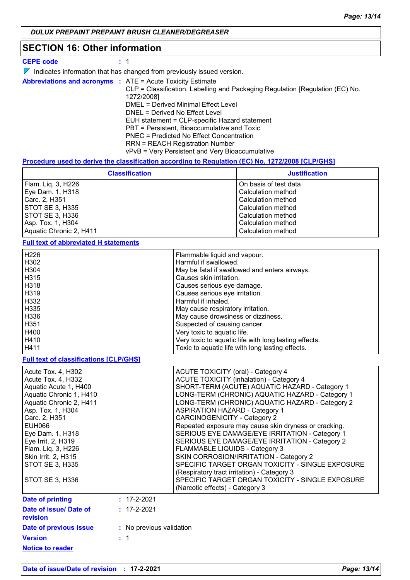# **SECTION 16: Other information**

|  |   | ÷ |
|--|---|---|
|  | . | œ |

**CEPE code :** 1

|  |  | $\triangleright$ Indicates information that has changed from previously issued version. |  |  |  |  |  |  |  |
|--|--|-----------------------------------------------------------------------------------------|--|--|--|--|--|--|--|
|--|--|-----------------------------------------------------------------------------------------|--|--|--|--|--|--|--|

|  | <b>Abbreviations and acronyms : ATE = Acute Toxicity Estimate</b>             |
|--|-------------------------------------------------------------------------------|
|  | CLP = Classification, Labelling and Packaging Regulation [Regulation (EC) No. |
|  | 1272/2008]                                                                    |
|  | DMEL = Derived Minimal Effect Level                                           |
|  | DNEL = Derived No Effect Level                                                |
|  | EUH statement = CLP-specific Hazard statement                                 |
|  | PBT = Persistent, Bioaccumulative and Toxic                                   |
|  | <b>PNEC</b> = Predicted No Effect Concentration                               |
|  | <b>RRN = REACH Registration Number</b>                                        |
|  | vPvB = Very Persistent and Very Bioaccumulative                               |
|  |                                                                               |

### **Procedure used to derive the classification according to Regulation (EC) No. 1272/2008 [CLP/GHS]**

| <b>Classification</b>   | <b>Justification</b>  |
|-------------------------|-----------------------|
| Flam. Liq. 3, H226      | On basis of test data |
| Eye Dam. 1, H318        | Calculation method    |
| Carc. 2. H351           | Calculation method    |
| STOT SE 3, H335         | Calculation method    |
| STOT SE 3, H336         | Calculation method    |
| Asp. Tox. 1, H304       | Calculation method    |
| Aquatic Chronic 2, H411 | Calculation method    |
|                         |                       |

**Full text of abbreviated H statements**

| H <sub>226</sub> | Flammable liquid and vapour.                          |
|------------------|-------------------------------------------------------|
| H302             | Harmful if swallowed.                                 |
| H304             | May be fatal if swallowed and enters airways.         |
| H315             | Causes skin irritation.                               |
| H318             | Causes serious eve damage.                            |
| H319             | Causes serious eye irritation.                        |
| H332             | Harmful if inhaled.                                   |
| H335             | May cause respiratory irritation.                     |
| H336             | May cause drowsiness or dizziness.                    |
| H <sub>351</sub> | Suspected of causing cancer.                          |
| H400             | Very toxic to aquatic life.                           |
| H410             | Very toxic to aquatic life with long lasting effects. |
| H411             | Toxic to aquatic life with long lasting effects.      |

**Full text of classifications [CLP/GHS]**

| Acute Tox. 4, H302<br>Acute Tox. 4, H332<br>Aquatic Acute 1, H400<br>Aquatic Chronic 1, H410<br>Aquatic Chronic 2, H411<br>Asp. Tox. 1, H304<br>Carc. 2, H351<br>EUH066<br>Eye Dam. 1, H318<br>Eye Irrit. 2, H319<br>Flam. Liq. 3, H226<br>Skin Irrit. 2, H315<br>STOT SE 3, H335<br>STOT SE 3, H336 | <b>ACUTE TOXICITY (oral) - Category 4</b><br><b>ACUTE TOXICITY (inhalation) - Category 4</b><br>SHORT-TERM (ACUTE) AQUATIC HAZARD - Category 1<br>LONG-TERM (CHRONIC) AQUATIC HAZARD - Category 1<br>LONG-TERM (CHRONIC) AQUATIC HAZARD - Category 2<br><b>ASPIRATION HAZARD - Category 1</b><br><b>CARCINOGENICITY - Category 2</b><br>Repeated exposure may cause skin dryness or cracking.<br>SERIOUS EYE DAMAGE/EYE IRRITATION - Category 1<br>SERIOUS EYE DAMAGE/EYE IRRITATION - Category 2<br>FLAMMABLE LIQUIDS - Category 3<br>SKIN CORROSION/IRRITATION - Category 2<br>SPECIFIC TARGET ORGAN TOXICITY - SINGLE EXPOSURE<br>(Respiratory tract irritation) - Category 3<br>SPECIFIC TARGET ORGAN TOXICITY - SINGLE EXPOSURE<br>(Narcotic effects) - Category 3 |
|------------------------------------------------------------------------------------------------------------------------------------------------------------------------------------------------------------------------------------------------------------------------------------------------------|-------------------------------------------------------------------------------------------------------------------------------------------------------------------------------------------------------------------------------------------------------------------------------------------------------------------------------------------------------------------------------------------------------------------------------------------------------------------------------------------------------------------------------------------------------------------------------------------------------------------------------------------------------------------------------------------------------------------------------------------------------------------------|
| Date of printing                                                                                                                                                                                                                                                                                     | $: 17 - 2 - 2021$                                                                                                                                                                                                                                                                                                                                                                                                                                                                                                                                                                                                                                                                                                                                                       |
| Date of issue/ Date of<br>revision                                                                                                                                                                                                                                                                   | $: 17 - 2 - 2021$                                                                                                                                                                                                                                                                                                                                                                                                                                                                                                                                                                                                                                                                                                                                                       |
| Date of previous issue                                                                                                                                                                                                                                                                               | : No previous validation                                                                                                                                                                                                                                                                                                                                                                                                                                                                                                                                                                                                                                                                                                                                                |
| <b>Version</b>                                                                                                                                                                                                                                                                                       | $\cdot$ 1                                                                                                                                                                                                                                                                                                                                                                                                                                                                                                                                                                                                                                                                                                                                                               |

**Notice to reader**